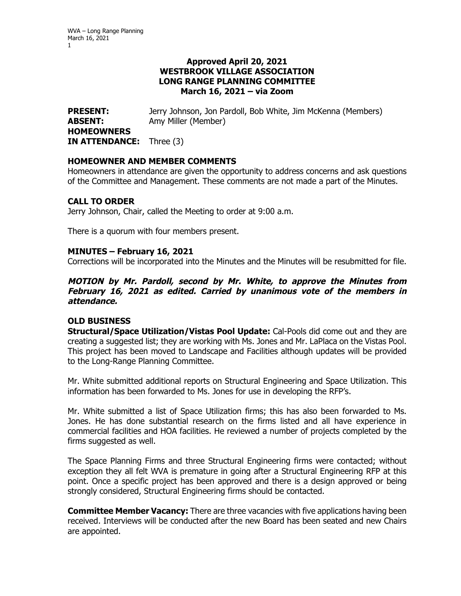WVA – Long Range Planning March 16, 2021 1

# **Approved April 20, 2021 WESTBROOK VILLAGE ASSOCIATION LONG RANGE PLANNING COMMITTEE March 16, 2021 – via Zoom**

**PRESENT:** Jerry Johnson, Jon Pardoll, Bob White, Jim McKenna (Members) **ABSENT:** Amy Miller (Member) **HOMEOWNERS IN ATTENDANCE:** Three (3)

## **HOMEOWNER AND MEMBER COMMENTS**

Homeowners in attendance are given the opportunity to address concerns and ask questions of the Committee and Management. These comments are not made a part of the Minutes.

## **CALL TO ORDER**

Jerry Johnson, Chair, called the Meeting to order at 9:00 a.m.

There is a quorum with four members present.

#### **MINUTES – February 16, 2021**

Corrections will be incorporated into the Minutes and the Minutes will be resubmitted for file.

**MOTION by Mr. Pardoll, second by Mr. White, to approve the Minutes from February 16, 2021 as edited. Carried by unanimous vote of the members in attendance.** 

# **OLD BUSINESS**

**Structural/Space Utilization/Vistas Pool Update:** Cal-Pools did come out and they are creating a suggested list; they are working with Ms. Jones and Mr. LaPlaca on the Vistas Pool. This project has been moved to Landscape and Facilities although updates will be provided to the Long-Range Planning Committee.

Mr. White submitted additional reports on Structural Engineering and Space Utilization. This information has been forwarded to Ms. Jones for use in developing the RFP's.

Mr. White submitted a list of Space Utilization firms; this has also been forwarded to Ms. Jones. He has done substantial research on the firms listed and all have experience in commercial facilities and HOA facilities. He reviewed a number of projects completed by the firms suggested as well.

The Space Planning Firms and three Structural Engineering firms were contacted; without exception they all felt WVA is premature in going after a Structural Engineering RFP at this point. Once a specific project has been approved and there is a design approved or being strongly considered, Structural Engineering firms should be contacted.

**Committee Member Vacancy:** There are three vacancies with five applications having been received. Interviews will be conducted after the new Board has been seated and new Chairs are appointed.